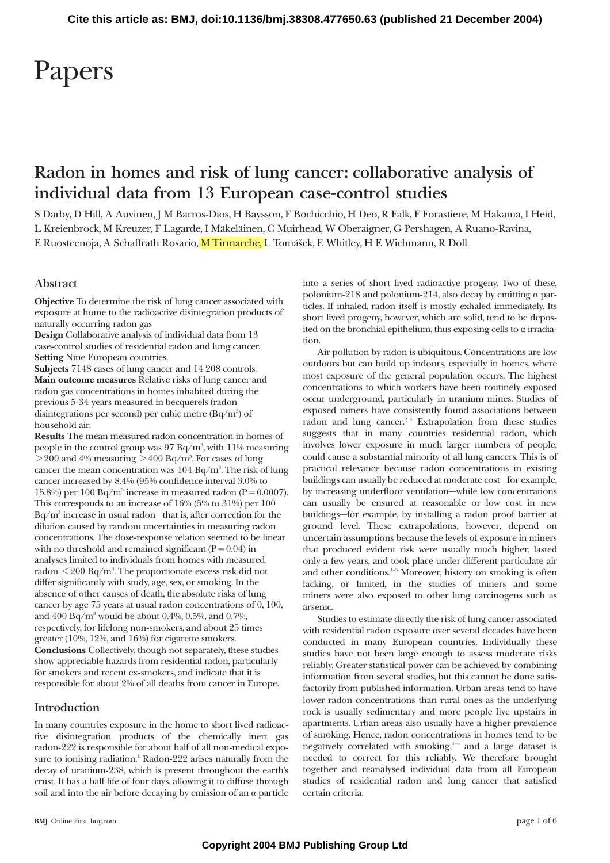# Papers

# **Radon in homes and risk of lung cancer: collaborative analysis of individual data from 13 European case-control studies**

S Darby, D Hill, A Auvinen, J M Barros-Dios, H Baysson, F Bochicchio, H Deo, R Falk, F Forastiere, M Hakama, I Heid, L Kreienbrock, M Kreuzer, F Lagarde, I Mäkeläinen, C Muirhead, W Oberaigner, G Pershagen, A Ruano-Ravina, E Ruosteenoja, A Schaffrath Rosario, M Tirmarche, L Tomášek, E Whitley, H E Wichmann, R Doll

# **Abstract**

**Objective** To determine the risk of lung cancer associated with exposure at home to the radioactive disintegration products of naturally occurring radon gas

**Design** Collaborative analysis of individual data from 13 case-control studies of residential radon and lung cancer. **Setting** Nine European countries.

**Subjects** 7148 cases of lung cancer and 14 208 controls. **Main outcome measures** Relative risks of lung cancer and radon gas concentrations in homes inhabited during the previous 5-34 years measured in becquerels (radon disintegrations per second) per cubic metre (Bq $\rm /m^3)$  of household air.

**Results** The mean measured radon concentration in homes of people in the control group was  $97~\rm{Bq/m^3}$ , with  $11\%$  measuring  $>$  200 and 4% measuring  $>$  400 Bq/m $^{\circ}$ . For cases of lung cancer the mean concentration was  $104$  Bq/m $^3$ . The risk of lung cancer increased by 8.4% (95% confidence interval 3.0% to 15.8%) per 100 Bq/m<sup>3</sup> increase in measured radon (P = 0.0007). This corresponds to an increase of 16% (5% to 31%) per 100  $Bq/m<sup>3</sup>$  increase in usual radon—that is, after correction for the dilution caused by random uncertainties in measuring radon concentrations. The dose-response relation seemed to be linear with no threshold and remained significant  $(P = 0.04)$  in analyses limited to individuals from homes with measured radon  $\rm {<}200~Bq/m^{3}.$  The proportionate excess risk did not differ significantly with study, age, sex, or smoking. In the absence of other causes of death, the absolute risks of lung cancer by age 75 years at usual radon concentrations of 0, 100, and 400 Bq/m<sup>3</sup> would be about 0.4%, 0.5%, and 0.7%, respectively, for lifelong non-smokers, and about 25 times greater (10%, 12%, and 16%) for cigarette smokers. **Conclusions** Collectively, though not separately, these studies show appreciable hazards from residential radon, particularly for smokers and recent ex-smokers, and indicate that it is responsible for about 2% of all deaths from cancer in Europe.

# **Introduction**

In many countries exposure in the home to short lived radioactive disintegration products of the chemically inert gas radon-222 is responsible for about half of all non-medical exposure to ionising radiation.<sup>1</sup> Radon-222 arises naturally from the decay of uranium-238, which is present throughout the earth's crust. It has a half life of four days, allowing it to diffuse through soil and into the air before decaying by emission of an  $\alpha$  particle into a series of short lived radioactive progeny. Two of these, polonium-218 and polonium-214, also decay by emitting  $\alpha$  particles. If inhaled, radon itself is mostly exhaled immediately. Its short lived progeny, however, which are solid, tend to be deposited on the bronchial epithelium, thus exposing cells to  $\alpha$  irradiation.

Air pollution by radon is ubiquitous. Concentrations are low outdoors but can build up indoors, especially in homes, where most exposure of the general population occurs. The highest concentrations to which workers have been routinely exposed occur underground, particularly in uranium mines. Studies of exposed miners have consistently found associations between radon and lung cancer.<sup>2 3</sup> Extrapolation from these studies suggests that in many countries residential radon, which involves lower exposure in much larger numbers of people, could cause a substantial minority of all lung cancers. This is of practical relevance because radon concentrations in existing buildings can usually be reduced at moderate cost—for example, by increasing underfloor ventilation—while low concentrations can usually be ensured at reasonable or low cost in new buildings—for example, by installing a radon proof barrier at ground level. These extrapolations, however, depend on uncertain assumptions because the levels of exposure in miners that produced evident risk were usually much higher, lasted only a few years, and took place under different particulate air and other conditions.<sup>1–3</sup> Moreover, history on smoking is often lacking, or limited, in the studies of miners and some miners were also exposed to other lung carcinogens such as arsenic.

Studies to estimate directly the risk of lung cancer associated with residential radon exposure over several decades have been conducted in many European countries. Individually these studies have not been large enough to assess moderate risks reliably. Greater statistical power can be achieved by combining information from several studies, but this cannot be done satisfactorily from published information. Urban areas tend to have lower radon concentrations than rural ones as the underlying rock is usually sedimentary and more people live upstairs in apartments. Urban areas also usually have a higher prevalence of smoking. Hence, radon concentrations in homes tend to be negatively correlated with smoking, $4-6$  and a large dataset is needed to correct for this reliably. We therefore brought together and reanalysed individual data from all European studies of residential radon and lung cancer that satisfied certain criteria.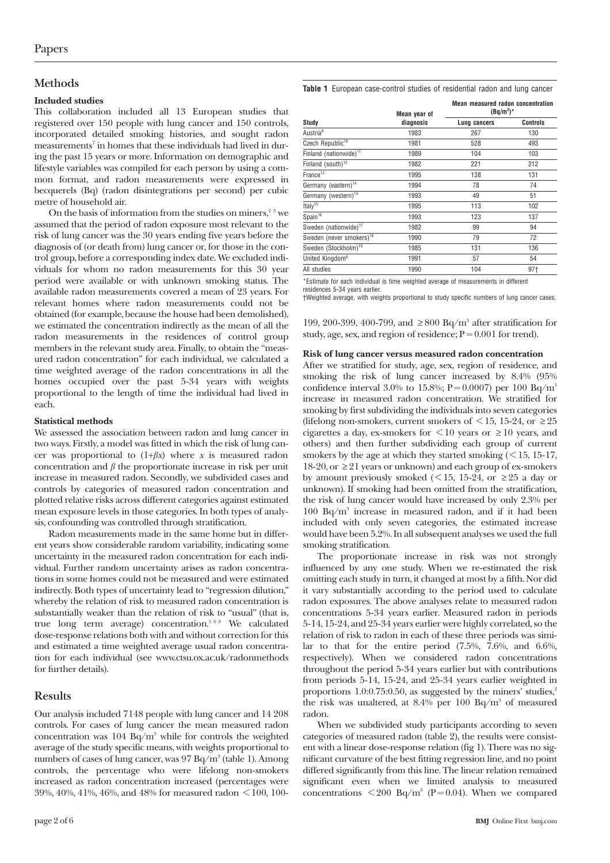# **Methods**

#### **Included studies**

This collaboration included all 13 European studies that registered over 150 people with lung cancer and 150 controls, incorporated detailed smoking histories, and sought radon measurements<sup>7</sup> in homes that these individuals had lived in during the past 15 years or more. Information on demographic and lifestyle variables was compiled for each person by using a common format, and radon measurements were expressed in becquerels (Bq) (radon disintegrations per second) per cubic metre of household air.

On the basis of information from the studies on miners, $2^3$  we assumed that the period of radon exposure most relevant to the risk of lung cancer was the 30 years ending five years before the diagnosis of (or death from) lung cancer or, for those in the control group, before a corresponding index date. We excluded individuals for whom no radon measurements for this 30 year period were available or with unknown smoking status. The available radon measurements covered a mean of 23 years. For relevant homes where radon measurements could not be obtained (for example, because the house had been demolished), we estimated the concentration indirectly as the mean of all the radon measurements in the residences of control group members in the relevant study area. Finally, to obtain the "measured radon concentration" for each individual, we calculated a time weighted average of the radon concentrations in all the homes occupied over the past 5-34 years with weights proportional to the length of time the individual had lived in each.

### **Statistical methods**

We assessed the association between radon and lung cancer in two ways. Firstly, a model was fitted in which the risk of lung cancer was proportional to  $(1+\beta x)$  where *x* is measured radon concentration and  $\beta$  the proportionate increase in risk per unit increase in measured radon. Secondly, we subdivided cases and controls by categories of measured radon concentration and plotted relative risks across different categories against estimated mean exposure levels in those categories. In both types of analysis, confounding was controlled through stratification.

Radon measurements made in the same home but in different years show considerable random variability, indicating some uncertainty in the measured radon concentration for each individual. Further random uncertainty arises as radon concentrations in some homes could not be measured and were estimated indirectly. Both types of uncertainty lead to "regression dilution," whereby the relation of risk to measured radon concentration is substantially weaker than the relation of risk to "usual" (that is, true long term average) concentration.<sup>568</sup> We calculated dose-response relations both with and without correction for this and estimated a time weighted average usual radon concentration for each individual (see www.ctsu.ox.ac.uk/radonmethods for further details).

# **Results**

Our analysis included 7148 people with lung cancer and 14 208 controls. For cases of lung cancer the mean measured radon concentration was  $104$  Bq/m<sup>3</sup> while for controls the weighted average of the study specific means, with weights proportional to numbers of cases of lung cancer, was  $97 Bq/m<sup>3</sup>$  (table 1). Among controls, the percentage who were lifelong non-smokers increased as radon concentration increased (percentages were 39%, 40%, 41%, 46%, and 48% for measured radon < 100, 100**Table 1** European case-control studies of residential radon and lung cancer

|                                      | Mean year of | <b>Mean measured radon concentration</b><br>$(Bq/m^3)^*$ |                 |  |  |  |
|--------------------------------------|--------------|----------------------------------------------------------|-----------------|--|--|--|
| Study                                | diagnosis    | Lung cancers                                             | <b>Controls</b> |  |  |  |
| Austria <sup>9</sup>                 | 1983         | 267                                                      | 130             |  |  |  |
| Czech Republic <sup>10</sup>         | 1981         | 528                                                      | 493             |  |  |  |
| Finland (nationwide) <sup>11</sup>   | 1989         | 104                                                      | 103             |  |  |  |
| Finland (south) <sup>12</sup>        | 1982         | 221                                                      | 212             |  |  |  |
| France <sup>13</sup>                 | 1995         | 138                                                      | 131             |  |  |  |
| Germany (eastern) <sup>14</sup>      | 1994         | 78                                                       | 74              |  |  |  |
| Germany (western) <sup>14</sup>      | 1993         | 49                                                       | 51              |  |  |  |
| Italy <sup>15</sup>                  | 1995         | 113                                                      | 102             |  |  |  |
| Spain <sup>16</sup>                  | 1993         | 123                                                      | 137             |  |  |  |
| Sweden (nationwide) <sup>17</sup>    | 1982         | 99                                                       | 94              |  |  |  |
| Sweden (never smokers) <sup>18</sup> | 1990         | 79                                                       | 72              |  |  |  |
| Sweden (Stockholm) <sup>19</sup>     | 1985         | 131                                                      | 136             |  |  |  |
| United Kingdom <sup>6</sup>          | 1991         | 57                                                       | 54              |  |  |  |
| All studies                          | 1990         | 104                                                      | 97†             |  |  |  |

\*Estimate for each individual is time weighted average of measurements in different

residences 5-34 years earlier. †Weighted average, with weights proportional to study specific numbers of lung cancer cases.

199, 200-399, 400-799, and  $\geq 800$  Bq/m<sup>3</sup> after stratification for study, age, sex, and region of residence;  $P = 0.001$  for trend).

#### **Risk of lung cancer versus measured radon concentration**

After we stratified for study, age, sex, region of residence, and smoking the risk of lung cancer increased by 8.4% (95% confidence interval 3.0% to 15.8%; P = 0.0007) per 100 Bq/m<sup>3</sup> increase in measured radon concentration. We stratified for smoking by first subdividing the individuals into seven categories (lifelong non-smokers, current smokers of  $\leq$  15, 15-24, or  $\geq$  25 cigarettes a day, ex-smokers for  $\leq 10$  years or  $\geq 10$  years, and others) and then further subdividing each group of current smokers by the age at which they started smoking  $\zeta$  < 15, 15-17, 18-20, or  $\geq$  21 years or unknown) and each group of ex-smokers by amount previously smoked ( $\leq 15$ , 15-24, or  $\geq 25$  a day or unknown). If smoking had been omitted from the stratification, the risk of lung cancer would have increased by only 2.3% per  $100$  Bq/m<sup>3</sup> increase in measured radon, and if it had been included with only seven categories, the estimated increase would have been 5.2%. In all subsequent analyses we used the full smoking stratification.

The proportionate increase in risk was not strongly influenced by any one study. When we re-estimated the risk omitting each study in turn, it changed at most by a fifth. Nor did it vary substantially according to the period used to calculate radon exposures. The above analyses relate to measured radon concentrations 5-34 years earlier. Measured radon in periods 5-14, 15-24, and 25-34 years earlier were highly correlated, so the relation of risk to radon in each of these three periods was similar to that for the entire period (7.5%, 7.6%, and 6.6%, respectively). When we considered radon concentrations throughout the period 5-34 years earlier but with contributions from periods 5-14, 15-24, and 25-34 years earlier weighted in proportions 1.0:0.75:0.50, as suggested by the miners' studies, $2^2$ the risk was unaltered, at  $8.4\%$  per  $100$  Bq/m<sup>3</sup> of measured radon.

When we subdivided study participants according to seven categories of measured radon (table 2), the results were consistent with a linear dose-response relation (fig 1). There was no significant curvature of the best fitting regression line, and no point differed significantly from this line. The linear relation remained significant even when we limited analysis to measured concentrations  $\langle 200 \text{ Bq/m}^3 \text{ (P=0.04)}$ . When we compared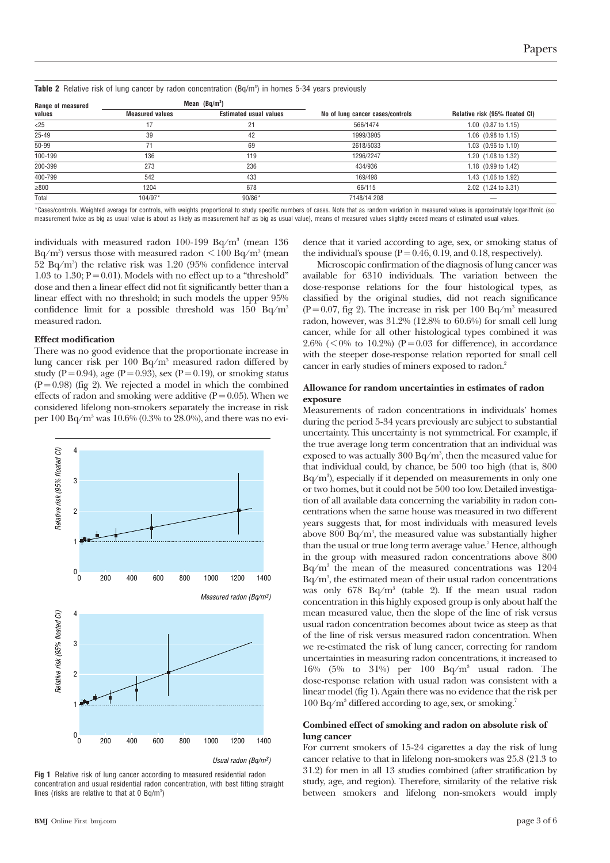|  |  |  |  |  |  |  | <b>Table 2</b> Relative risk of lung cancer by radon concentration (Bq/m $^{\circ}$ ) in homes 5-34 years previously |  |  |
|--|--|--|--|--|--|--|----------------------------------------------------------------------------------------------------------------------|--|--|
|--|--|--|--|--|--|--|----------------------------------------------------------------------------------------------------------------------|--|--|

| Range of measured |                        | Mean $(Bq/m^3)$               |                                  |                                  |  |  |
|-------------------|------------------------|-------------------------------|----------------------------------|----------------------------------|--|--|
| values            | <b>Measured values</b> | <b>Estimated usual values</b> | No of lung cancer cases/controls | Relative risk (95% floated CI)   |  |  |
| $<$ 25            | 17                     |                               | 566/1474                         | $1.00$ $(0.87 \text{ to } 1.15)$ |  |  |
| $25 - 49$         | 39                     | 42                            | 1999/3905                        | 1.06 (0.98 to 1.15)              |  |  |
| 50-99             |                        | 69                            | 2618/5033                        | $1.03$ $(0.96 \text{ to } 1.10)$ |  |  |
| 100-199           | 136                    | 119                           | 1296/2247                        | 1.20 (1.08 to 1.32)              |  |  |
| 200-399           | 273                    | 236                           | 434/936                          | 1.18 (0.99 to 1.42)              |  |  |
| 400-799           | 542                    | 433                           | 169/498                          | 1.43 (1.06 to 1.92)              |  |  |
| $\geq 800$        | 1204                   | 678                           | 66/115                           | 2.02 (1.24 to 3.31)              |  |  |
| Total             | $104/97*$              | $90/86*$                      | 7148/14 208                      |                                  |  |  |

\*Cases/controls. Weighted average for controls, with weights proportional to study specific numbers of cases. Note that as random variation in measured values is approximately logarithmic (so measurement twice as big as usual value is about as likely as measurement half as big as usual value), means of measured values slightly exceed means of estimated usual values.

individuals with measured radon 100-199 Bq/m<sup>3</sup> (mean 136 Bq/m $^3$ ) versus those with measured radon  $\rm {<}100$  Bq/m $^3$  (mean  $52$  Bq/m<sup>3</sup>) the relative risk was  $1.20$  (95% confidence interval 1.03 to 1.30;  $P = 0.01$ ). Models with no effect up to a "threshold" dose and then a linear effect did not fit significantly better than a linear effect with no threshold; in such models the upper 95% confidence limit for a possible threshold was  $150$  Bq/m<sup>3</sup> measured radon.

#### **Effect modification**

There was no good evidence that the proportionate increase in lung cancer risk per 100  $Bq/m^3$  measured radon differed by study (P = 0.94), age (P = 0.93), sex (P = 0.19), or smoking status  $(P = 0.98)$  (fig 2). We rejected a model in which the combined effects of radon and smoking were additive  $(P = 0.05)$ . When we considered lifelong non-smokers separately the increase in risk per  $100 Bq/m^3$  was  $10.6\%$  (0.3% to 28.0%), and there was no evi-



Usual radon (Bq/m3)

**Fig 1** Relative risk of lung cancer according to measured residential radon concentration and usual residential radon concentration, with best fitting straight lines (risks are relative to that at  $0 \text{ Bq/m}^3$ )

dence that it varied according to age, sex, or smoking status of the individual's spouse ( $P = 0.46, 0.19,$  and 0.18, respectively).

Microscopic confirmation of the diagnosis of lung cancer was available for 6310 individuals. The variation between the dose-response relations for the four histological types, as classified by the original studies, did not reach significance  $(P = 0.07$ , fig 2). The increase in risk per 100 Bq/m<sup>3</sup> measured radon, however, was 31.2% (12.8% to 60.6%) for small cell lung cancer, while for all other histological types combined it was 2.6% ( $\leq$ 0% to 10.2%) (P=0.03 for difference), in accordance with the steeper dose-response relation reported for small cell cancer in early studies of miners exposed to radon.<sup>2</sup>

#### **Allowance for random uncertainties in estimates of radon exposure**

Measurements of radon concentrations in individuals' homes during the period 5-34 years previously are subject to substantial uncertainty. This uncertainty is not symmetrical. For example, if the true average long term concentration that an individual was exposed to was actually  $300$  Bq/m $^{\rm 3}$ , then the measured value for that individual could, by chance, be 500 too high (that is, 800  $\text{Bq/m}^{\text{\tiny 3}}$ ), especially if it depended on measurements in only one or two homes, but it could not be 500 too low. Detailed investigation of all available data concerning the variability in radon concentrations when the same house was measured in two different years suggests that, for most individuals with measured levels above  $800$  Bq/m ${\rm^3}$ , the measured value was substantially higher than the usual or true long term average value.<sup>7</sup> Hence, although in the group with measured radon concentrations above 800  $Bq/m<sup>3</sup>$  the mean of the measured concentrations was 1204  $\text{Bq/m}^3$ , the estimated mean of their usual radon concentrations was only 678 Bq/m3 (table 2). If the mean usual radon concentration in this highly exposed group is only about half the mean measured value, then the slope of the line of risk versus usual radon concentration becomes about twice as steep as that of the line of risk versus measured radon concentration. When we re-estimated the risk of lung cancer, correcting for random uncertainties in measuring radon concentrations, it increased to 16% (5% to 31%) per 100  $Bq/m<sup>3</sup>$  usual radon. The dose-response relation with usual radon was consistent with a linear model (fig 1). Again there was no evidence that the risk per  $100 Bq/m<sup>3</sup>$  differed according to age, sex, or smoking.<sup>7</sup>

#### **Combined effect of smoking and radon on absolute risk of lung cancer**

For current smokers of 15-24 cigarettes a day the risk of lung cancer relative to that in lifelong non-smokers was 25.8 (21.3 to 31.2) for men in all 13 studies combined (after stratification by study, age, and region). Therefore, similarity of the relative risk between smokers and lifelong non-smokers would imply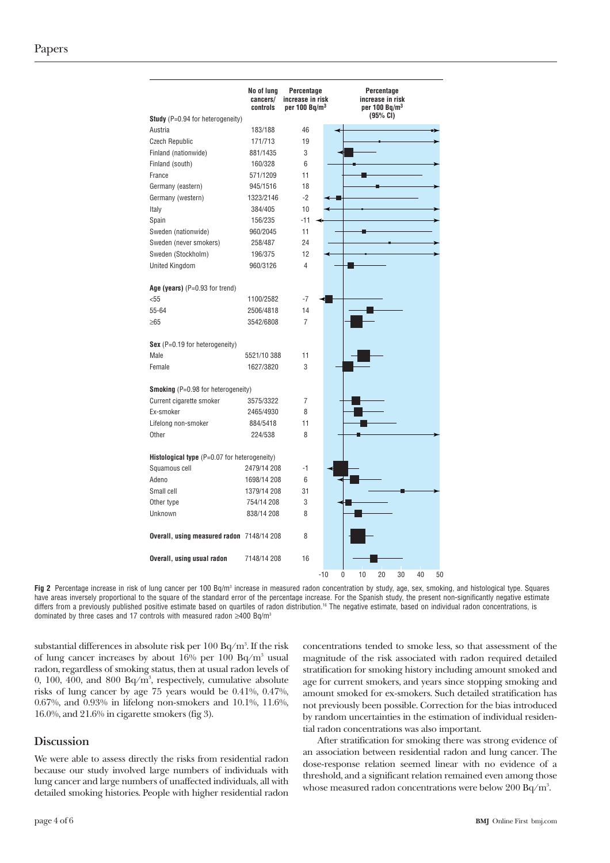| <b>Study</b> (P=0.94 for heterogeneity)             | No of lung<br>cancers/<br>controls | Percentage<br>increase in risk<br>per 100 $Ba/m3$ |       | Percentage<br>increase in risk<br>per 100 Ba/m <sup>3</sup><br>(95% CI) |    |    |    |    |    |  |
|-----------------------------------------------------|------------------------------------|---------------------------------------------------|-------|-------------------------------------------------------------------------|----|----|----|----|----|--|
|                                                     |                                    |                                                   |       |                                                                         |    |    |    |    |    |  |
| Austria                                             | 183/188                            | 46                                                |       |                                                                         |    |    |    |    |    |  |
| <b>Czech Republic</b>                               | 171/713                            | 19                                                |       |                                                                         |    |    |    |    |    |  |
| Finland (nationwide)                                | 881/1435                           | 3                                                 |       |                                                                         |    |    |    |    |    |  |
| Finland (south)                                     | 160/328                            | 6                                                 |       |                                                                         |    |    |    |    |    |  |
| France                                              | 571/1209                           | 11                                                |       |                                                                         |    |    |    |    |    |  |
| Germany (eastern)                                   | 945/1516                           | 18                                                |       |                                                                         |    |    |    |    |    |  |
| Germany (western)                                   | 1323/2146                          | $-2$                                              |       |                                                                         |    |    |    |    |    |  |
| Italy                                               | 384/405                            | 10                                                |       |                                                                         |    |    |    |    |    |  |
| Spain                                               | 156/235                            | $-11$                                             |       |                                                                         |    |    |    |    |    |  |
| Sweden (nationwide)                                 | 960/2045                           | 11                                                |       |                                                                         |    |    |    |    |    |  |
| Sweden (never smokers)                              | 258/487                            | 24                                                |       |                                                                         |    |    |    |    |    |  |
| Sweden (Stockholm)                                  | 196/375                            | 12                                                |       |                                                                         |    |    |    |    |    |  |
| United Kingdom                                      | 960/3126                           | 4                                                 |       |                                                                         |    |    |    |    |    |  |
| Age (years) $(P=0.93$ for trend)                    |                                    |                                                   |       |                                                                         |    |    |    |    |    |  |
| $55$                                                | 1100/2582                          | $-7$                                              |       |                                                                         |    |    |    |    |    |  |
| 55-64                                               | 2506/4818                          | 14                                                |       |                                                                         |    |    |    |    |    |  |
| $\geq 65$                                           | 3542/6808                          | 7                                                 |       |                                                                         |    |    |    |    |    |  |
| Sex $(P=0.19$ for heterogeneity)                    |                                    |                                                   |       |                                                                         |    |    |    |    |    |  |
| Male                                                | 5521/10 388                        | 11                                                |       |                                                                         |    |    |    |    |    |  |
| Female                                              | 1627/3820                          | 3                                                 |       |                                                                         |    |    |    |    |    |  |
| <b>Smoking</b> (P=0.98 for heterogeneity)           |                                    |                                                   |       |                                                                         |    |    |    |    |    |  |
| Current cigarette smoker                            | 3575/3322                          | 7                                                 |       |                                                                         |    |    |    |    |    |  |
| Ex-smoker                                           | 2465/4930                          | 8                                                 |       |                                                                         |    |    |    |    |    |  |
| Lifelong non-smoker                                 | 884/5418                           | 11                                                |       |                                                                         |    |    |    |    |    |  |
| Other                                               | 224/538                            | 8                                                 |       |                                                                         |    |    |    |    |    |  |
| <b>Histological type</b> (P=0.07 for heterogeneity) |                                    |                                                   |       |                                                                         |    |    |    |    |    |  |
| Squamous cell                                       | 2479/14 208                        | $-1$                                              |       |                                                                         |    |    |    |    |    |  |
| Adeno                                               | 1698/14 208                        | 6                                                 |       |                                                                         |    |    |    |    |    |  |
| Small cell                                          | 1379/14 208                        | 31                                                |       |                                                                         |    |    |    |    |    |  |
| Other type                                          | 754/14 208                         | 3                                                 |       |                                                                         |    |    |    |    |    |  |
| Unknown                                             | 838/14 208                         | 8                                                 |       |                                                                         |    |    |    |    |    |  |
| Overall, using measured radon 7148/14 208           |                                    | 8                                                 |       |                                                                         |    |    |    |    |    |  |
| Overall, using usual radon                          | 7148/14 208                        | 16                                                |       |                                                                         |    |    |    |    |    |  |
|                                                     |                                    |                                                   | $-10$ | 0                                                                       | 10 | 20 | 30 | 40 | 50 |  |



substantial differences in absolute risk per  $100$  Bq/m $^{\rm 3}$ . If the risk of lung cancer increases by about  $16\%$  per  $100$  Bq/m<sup>3</sup> usual radon, regardless of smoking status, then at usual radon levels of 0, 100, 400, and 800  $Bq/m^3$ , respectively, cumulative absolute risks of lung cancer by age 75 years would be 0.41%, 0.47%, 0.67%, and 0.93% in lifelong non-smokers and 10.1%, 11.6%, 16.0%, and 21.6% in cigarette smokers (fig 3).

# **Discussion**

We were able to assess directly the risks from residential radon because our study involved large numbers of individuals with lung cancer and large numbers of unaffected individuals, all with detailed smoking histories. People with higher residential radon concentrations tended to smoke less, so that assessment of the magnitude of the risk associated with radon required detailed stratification for smoking history including amount smoked and age for current smokers, and years since stopping smoking and amount smoked for ex-smokers. Such detailed stratification has not previously been possible. Correction for the bias introduced by random uncertainties in the estimation of individual residential radon concentrations was also important.

After stratification for smoking there was strong evidence of an association between residential radon and lung cancer. The dose-response relation seemed linear with no evidence of a threshold, and a significant relation remained even among those whose measured radon concentrations were below  $200$  Bq/m $^{\rm 3}.$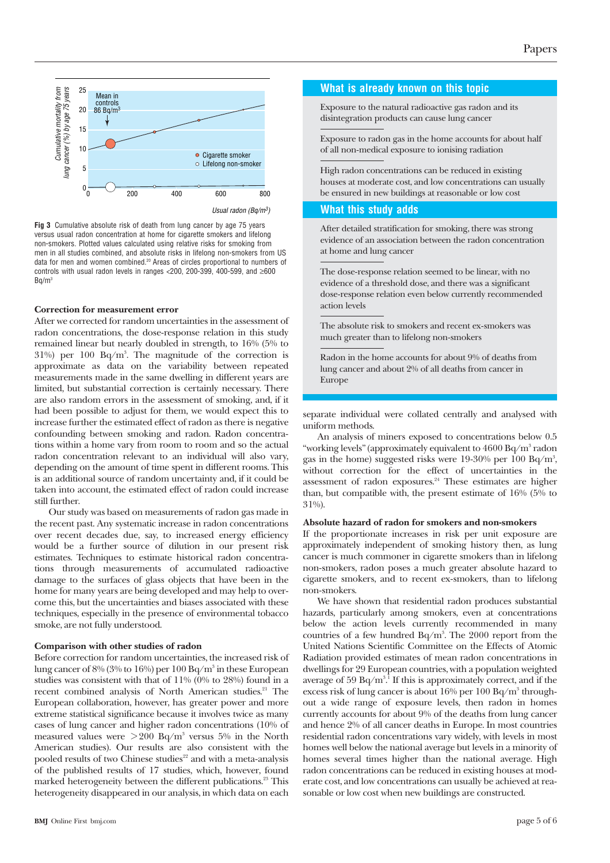

Usual radon (Bq/m3)

**Fig 3** Cumulative absolute risk of death from lung cancer by age 75 years versus usual radon concentration at home for cigarette smokers and lifelong non-smokers. Plotted values calculated using relative risks for smoking from men in all studies combined, and absolute risks in lifelong non-smokers from US data for men and women combined.<sup>20</sup> Areas of circles proportional to numbers of controls with usual radon levels in ranges <200, 200-399, 400-599, and ≥600  $Ba/m<sup>3</sup>$ 

#### **Correction for measurement error**

After we corrected for random uncertainties in the assessment of radon concentrations, the dose-response relation in this study remained linear but nearly doubled in strength, to 16% (5% to  $31\%$ ) per  $100$  Bq/m<sup>3</sup>. The magnitude of the correction is approximate as data on the variability between repeated measurements made in the same dwelling in different years are limited, but substantial correction is certainly necessary. There are also random errors in the assessment of smoking, and, if it had been possible to adjust for them, we would expect this to increase further the estimated effect of radon as there is negative confounding between smoking and radon. Radon concentrations within a home vary from room to room and so the actual radon concentration relevant to an individual will also vary, depending on the amount of time spent in different rooms. This is an additional source of random uncertainty and, if it could be taken into account, the estimated effect of radon could increase still further.

Our study was based on measurements of radon gas made in the recent past. Any systematic increase in radon concentrations over recent decades due, say, to increased energy efficiency would be a further source of dilution in our present risk estimates. Techniques to estimate historical radon concentrations through measurements of accumulated radioactive damage to the surfaces of glass objects that have been in the home for many years are being developed and may help to overcome this, but the uncertainties and biases associated with these techniques, especially in the presence of environmental tobacco smoke, are not fully understood.

#### **Comparison with other studies of radon**

Before correction for random uncertainties, the increased risk of lung cancer of 8% (3% to 16%) per 100 Bq/m<sup>3</sup> in these European studies was consistent with that of 11% (0% to 28%) found in a recent combined analysis of North American studies.<sup>21</sup> The European collaboration, however, has greater power and more extreme statistical significance because it involves twice as many cases of lung cancer and higher radon concentrations (10% of measured values were  $>200$  Bq/m<sup>3</sup> versus 5% in the North American studies). Our results are also consistent with the pooled results of two Chinese studies<sup>22</sup> and with a meta-analysis of the published results of 17 studies, which, however, found marked heterogeneity between the different publications.<sup>23</sup> This heterogeneity disappeared in our analysis, in which data on each

#### **What is already known on this topic**

Exposure to the natural radioactive gas radon and its disintegration products can cause lung cancer

Exposure to radon gas in the home accounts for about half of all non-medical exposure to ionising radiation

High radon concentrations can be reduced in existing houses at moderate cost, and low concentrations can usually be ensured in new buildings at reasonable or low cost

#### **What this study adds**

After detailed stratification for smoking, there was strong evidence of an association between the radon concentration at home and lung cancer

The dose-response relation seemed to be linear, with no evidence of a threshold dose, and there was a significant dose-response relation even below currently recommended action levels

The absolute risk to smokers and recent ex-smokers was much greater than to lifelong non-smokers

Radon in the home accounts for about 9% of deaths from lung cancer and about 2% of all deaths from cancer in Europe

separate individual were collated centrally and analysed with uniform methods.

An analysis of miners exposed to concentrations below 0.5 "working levels" (approximately equivalent to 4600 Bq/m3 radon gas in the home) suggested risks were 19-30% per 100 Bq/m<sup>3</sup>, without correction for the effect of uncertainties in the assessment of radon exposures.<sup>24</sup> These estimates are higher than, but compatible with, the present estimate of 16% (5% to 31%).

#### **Absolute hazard of radon for smokers and non-smokers**

If the proportionate increases in risk per unit exposure are approximately independent of smoking history then, as lung cancer is much commoner in cigarette smokers than in lifelong non-smokers, radon poses a much greater absolute hazard to cigarette smokers, and to recent ex-smokers, than to lifelong non-smokers.

We have shown that residential radon produces substantial hazards, particularly among smokers, even at concentrations below the action levels currently recommended in many countries of a few hundred Bq/m<sup>3</sup>. The 2000 report from the United Nations Scientific Committee on the Effects of Atomic Radiation provided estimates of mean radon concentrations in dwellings for 29 European countries, with a population weighted average of 59 Bq/m $^{\rm 3.1}$  If this is approximately correct, and if the excess risk of lung cancer is about 16% per 100 Bq/m<sup>3</sup> throughout a wide range of exposure levels, then radon in homes currently accounts for about 9% of the deaths from lung cancer and hence 2% of all cancer deaths in Europe. In most countries residential radon concentrations vary widely, with levels in most homes well below the national average but levels in a minority of homes several times higher than the national average. High radon concentrations can be reduced in existing houses at moderate cost, and low concentrations can usually be achieved at reasonable or low cost when new buildings are constructed.